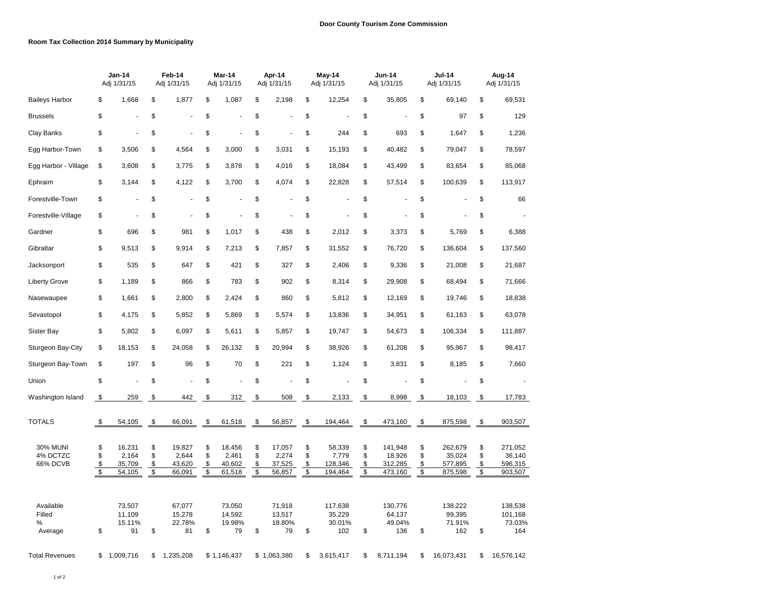## **Room Tax Collection 2014 Summary by Municipality**

|                                         | <b>Jan-14</b><br>Feb-14<br>Adj 1/31/15<br>Adj 1/31/15 |                                     | Mar-14<br>Adj 1/31/15                      |                                     |                                            | Apr-14<br>Adj 1/31/15               |                      | May-14<br>Adj 1/31/15               |                                            | Jun-14<br>Adj 1/31/15                 |                      | <b>Jul-14</b><br>Adj 1/31/15            |                                            | Aug-14<br>Adj 1/31/15                   |                      |                                         |
|-----------------------------------------|-------------------------------------------------------|-------------------------------------|--------------------------------------------|-------------------------------------|--------------------------------------------|-------------------------------------|----------------------|-------------------------------------|--------------------------------------------|---------------------------------------|----------------------|-----------------------------------------|--------------------------------------------|-----------------------------------------|----------------------|-----------------------------------------|
| <b>Baileys Harbor</b>                   | \$                                                    | 1,668                               | \$                                         | 1,877                               | \$                                         | 1,087                               | \$                   | 2,198                               | \$                                         | 12,254                                | \$                   | 35,805                                  | \$                                         | 69,140                                  | \$                   | 69,531                                  |
| <b>Brussels</b>                         | \$                                                    |                                     | \$                                         | ä,                                  | \$                                         |                                     | \$                   |                                     | \$                                         |                                       | \$                   | ÷,                                      | \$                                         | 97                                      | \$                   | 129                                     |
| Clay Banks                              | \$                                                    | $\overline{a}$                      | \$                                         | $\ddot{\phantom{1}}$                | \$                                         |                                     | \$                   |                                     | \$                                         | 244                                   | \$                   | 693                                     | \$                                         | 1,647                                   | \$                   | 1,236                                   |
| Egg Harbor-Town                         | \$                                                    | 3,506                               | \$                                         | 4,564                               | \$                                         | 3,000                               | \$                   | 3,031                               | \$                                         | 15,193                                | \$                   | 40,482                                  | \$                                         | 79,047                                  | \$                   | 78,597                                  |
| Egg Harbor - Village                    | \$                                                    | 3,608                               | \$                                         | 3,775                               | \$                                         | 3,878                               | \$                   | 4,016                               | \$                                         | 18,084                                | \$                   | 43,499                                  | \$                                         | 83,654                                  | \$                   | 85,068                                  |
| Ephraim                                 | \$                                                    | 3,144                               | \$                                         | 4,122                               | \$                                         | 3,700                               | \$                   | 4,074                               | \$                                         | 22,828                                | \$                   | 57,514                                  | \$                                         | 100,639                                 | \$                   | 113,917                                 |
| Forestville-Town                        | \$                                                    | ÷,                                  | \$                                         | ä,                                  | \$                                         |                                     | \$                   |                                     | \$                                         |                                       | \$                   | $\sim$                                  | \$                                         |                                         | \$                   | 66                                      |
| Forestville-Village                     | \$                                                    | ä,                                  | \$                                         | Ĭ.                                  | \$                                         |                                     | \$                   |                                     | \$                                         |                                       | \$                   |                                         | \$                                         |                                         | \$                   | ä,                                      |
| Gardner                                 | \$                                                    | 696                                 | \$                                         | 981                                 | \$                                         | 1,017                               | \$                   | 438                                 | \$                                         | 2,012                                 | \$                   | 3,373                                   | \$                                         | 5,769                                   | \$                   | 6,388                                   |
| Gibraltar                               | \$                                                    | 9,513                               | \$                                         | 9,914                               | \$                                         | 7,213                               | \$                   | 7,857                               | \$                                         | 31,552                                | \$                   | 76,720                                  | \$                                         | 136,604                                 | \$                   | 137,560                                 |
| Jacksonport                             | \$                                                    | 535                                 | \$                                         | 647                                 | \$                                         | 421                                 | \$                   | 327                                 | \$                                         | 2,406                                 | \$                   | 9,336                                   | \$                                         | 21,008                                  | \$                   | 21,687                                  |
| <b>Liberty Grove</b>                    | \$                                                    | 1,189                               | \$                                         | 866                                 | \$                                         | 783                                 | \$                   | 902                                 | \$                                         | 8,314                                 | \$                   | 29,908                                  | \$                                         | 68,494                                  | \$                   | 71,666                                  |
| Nasewaupee                              | \$                                                    | 1,661                               | \$                                         | 2,800                               | \$                                         | 2,424                               | \$                   | 860                                 | \$                                         | 5,812                                 | \$                   | 12,169                                  | \$                                         | 19,746                                  | \$                   | 18,838                                  |
| Sevastopol                              | \$                                                    | 4,175                               | \$                                         | 5,852                               | \$                                         | 5,869                               | \$                   | 5,574                               | \$                                         | 13,836                                | \$                   | 34,951                                  | \$                                         | 61,163                                  | \$                   | 63,078                                  |
| Sister Bay                              | \$                                                    | 5,802                               | \$                                         | 6,097                               | \$                                         | 5,611                               | \$                   | 5,857                               | \$                                         | 19,747                                | \$                   | 54,673                                  | \$                                         | 106,334                                 | \$                   | 111,887                                 |
| Sturgeon Bay-City                       | \$                                                    | 18,153                              | \$                                         | 24,058                              | \$                                         | 26,132                              | \$                   | 20,994                              | \$                                         | 38,926                                | \$                   | 61,208                                  | \$                                         | 95,967                                  | \$                   | 98,417                                  |
| Sturgeon Bay-Town                       | \$                                                    | 197                                 | \$                                         | 96                                  | \$                                         | 70                                  | \$                   | 221                                 | \$                                         | 1,124                                 | \$                   | 3,831                                   | \$                                         | 8,185                                   | \$                   | 7,660                                   |
| Union                                   | \$                                                    |                                     | \$                                         |                                     | \$                                         |                                     | \$                   |                                     | \$                                         |                                       | \$                   |                                         | \$                                         |                                         | \$                   |                                         |
| Washington Island                       | \$                                                    | 259                                 | \$                                         | 442                                 | \$                                         | 312                                 | \$                   | 508                                 | \$                                         | 2,133                                 | \$                   | 8,998                                   | \$                                         | 18,103                                  | \$                   | 17,783                                  |
| <b>TOTALS</b>                           | \$                                                    | 54,105                              | \$                                         | 66,091                              | \$                                         | 61,518                              | \$                   | 56,857                              | \$                                         | 194,464                               | \$                   | 473,160                                 | \$                                         | 875,598                                 | \$                   | 903,507                                 |
| <b>30% MUNI</b><br>4% DCTZC<br>66% DCVB | \$<br>\$<br>\$<br>$\overline{\mathcal{S}}$            | 16,231<br>2,164<br>35,709<br>54,105 | \$<br>\$<br>\$<br>$\overline{\mathcal{S}}$ | 19,827<br>2,644<br>43,620<br>66,091 | \$<br>\$<br>\$<br>$\overline{\mathcal{S}}$ | 18,456<br>2,461<br>40,602<br>61,518 | \$<br>\$<br>\$<br>\$ | 17,057<br>2,274<br>37,525<br>56,857 | \$<br>\$<br>\$<br>$\overline{\mathcal{S}}$ | 58,339<br>7,779<br>128,346<br>194,464 | \$<br>\$<br>\$<br>\$ | 141,948<br>18,926<br>312,285<br>473,160 | \$<br>\$<br>\$<br>$\overline{\mathcal{S}}$ | 262,679<br>35,024<br>577,895<br>875,598 | \$<br>\$<br>\$<br>\$ | 271,052<br>36,140<br>596,315<br>903,507 |
| Available<br>Filled<br>%<br>Average     | \$                                                    | 73,507<br>11,109<br>15.11%<br>91    | \$                                         | 67,077<br>15,278<br>22.78%<br>81    | \$                                         | 73,050<br>14,592<br>19.98%<br>79    | \$                   | 71,918<br>13,517<br>18.80%<br>79    | \$                                         | 117,638<br>35,229<br>30.01%<br>102    | \$                   | 130,776<br>64,137<br>49.04%<br>136      | \$                                         | 138,222<br>99,395<br>71.91%<br>162      | \$                   | 138,538<br>101,168<br>73.03%<br>164     |
| <b>Total Revenues</b>                   | \$                                                    | 1,009,716                           | \$                                         | 1,235,208                           |                                            | \$1,146,437                         |                      | \$1,063,380                         | \$                                         | 3,615,417                             | \$                   | 8,711,194                               | \$                                         | 16,073,431                              | \$                   | 16,576,142                              |